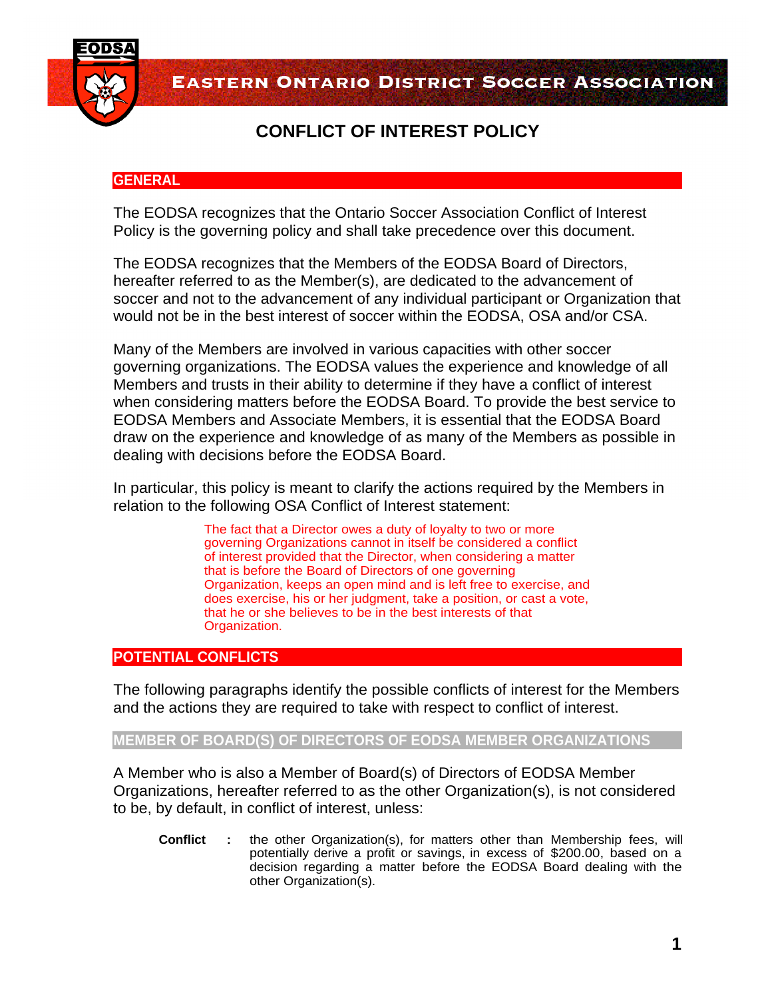

**EASTERN ONTARIO DISTRICT SOCCER ASSOCIATION** 

# **CONFLICT OF INTEREST POLICY**

## **GENERAL**

The EODSA recognizes that the Ontario Soccer Association Conflict of Interest Policy is the governing policy and shall take precedence over this document.

The EODSA recognizes that the Members of the EODSA Board of Directors, hereafter referred to as the Member(s), are dedicated to the advancement of soccer and not to the advancement of any individual participant or Organization that would not be in the best interest of soccer within the EODSA, OSA and/or CSA.

Many of the Members are involved in various capacities with other soccer governing organizations. The EODSA values the experience and knowledge of all Members and trusts in their ability to determine if they have a conflict of interest when considering matters before the EODSA Board. To provide the best service to EODSA Members and Associate Members, it is essential that the EODSA Board draw on the experience and knowledge of as many of the Members as possible in dealing with decisions before the EODSA Board.

In particular, this policy is meant to clarify the actions required by the Members in relation to the following OSA Conflict of Interest statement:

> The fact that a Director owes a duty of loyalty to two or more governing Organizations cannot in itself be considered a conflict of interest provided that the Director, when considering a matter that is before the Board of Directors of one governing Organization, keeps an open mind and is left free to exercise, and does exercise, his or her judgment, take a position, or cast a vote, that he or she believes to be in the best interests of that Organization.

## **POTENTIAL CONFLICTS**

The following paragraphs identify the possible conflicts of interest for the Members and the actions they are required to take with respect to conflict of interest.

## **MEMBER OF BOARD(S) OF DIRECTORS OF EODSA MEMBER ORGANIZATIONS**

A Member who is also a Member of Board(s) of Directors of EODSA Member Organizations, hereafter referred to as the other Organization(s), is not considered to be, by default, in conflict of interest, unless:

**Conflict :** the other Organization(s), for matters other than Membership fees, will potentially derive a profit or savings, in excess of \$200.00, based on a decision regarding a matter before the EODSA Board dealing with the other Organization(s).